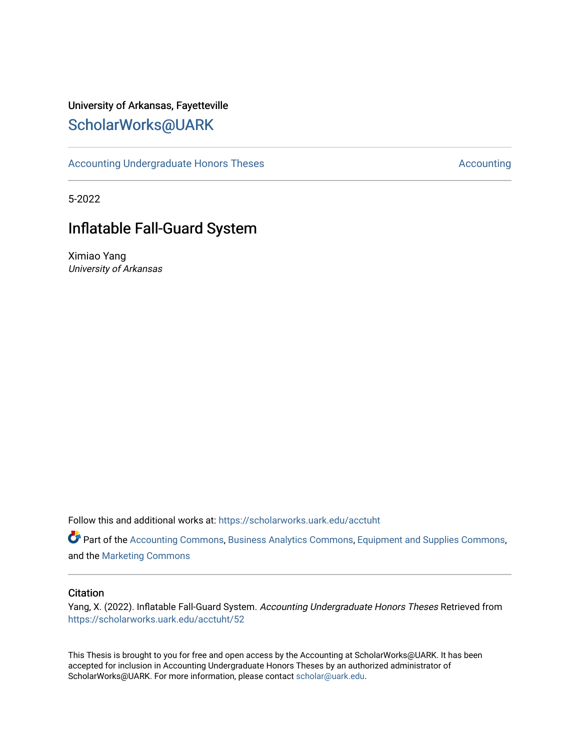# University of Arkansas, Fayetteville [ScholarWorks@UARK](https://scholarworks.uark.edu/)

[Accounting Undergraduate Honors Theses](https://scholarworks.uark.edu/acctuht) [Accounting](https://scholarworks.uark.edu/acct) Accounting

5-2022

# Inflatable Fall-Guard System

Ximiao Yang University of Arkansas

Follow this and additional works at: [https://scholarworks.uark.edu/acctuht](https://scholarworks.uark.edu/acctuht?utm_source=scholarworks.uark.edu%2Facctuht%2F52&utm_medium=PDF&utm_campaign=PDFCoverPages) 

Part of the [Accounting Commons](http://network.bepress.com/hgg/discipline/625?utm_source=scholarworks.uark.edu%2Facctuht%2F52&utm_medium=PDF&utm_campaign=PDFCoverPages), [Business Analytics Commons](http://network.bepress.com/hgg/discipline/1398?utm_source=scholarworks.uark.edu%2Facctuht%2F52&utm_medium=PDF&utm_campaign=PDFCoverPages), [Equipment and Supplies Commons](http://network.bepress.com/hgg/discipline/944?utm_source=scholarworks.uark.edu%2Facctuht%2F52&utm_medium=PDF&utm_campaign=PDFCoverPages), and the [Marketing Commons](http://network.bepress.com/hgg/discipline/638?utm_source=scholarworks.uark.edu%2Facctuht%2F52&utm_medium=PDF&utm_campaign=PDFCoverPages) 

#### **Citation**

Yang, X. (2022). Inflatable Fall-Guard System. Accounting Undergraduate Honors Theses Retrieved from [https://scholarworks.uark.edu/acctuht/52](https://scholarworks.uark.edu/acctuht/52?utm_source=scholarworks.uark.edu%2Facctuht%2F52&utm_medium=PDF&utm_campaign=PDFCoverPages)

This Thesis is brought to you for free and open access by the Accounting at ScholarWorks@UARK. It has been accepted for inclusion in Accounting Undergraduate Honors Theses by an authorized administrator of ScholarWorks@UARK. For more information, please contact [scholar@uark.edu](mailto:scholar@uark.edu).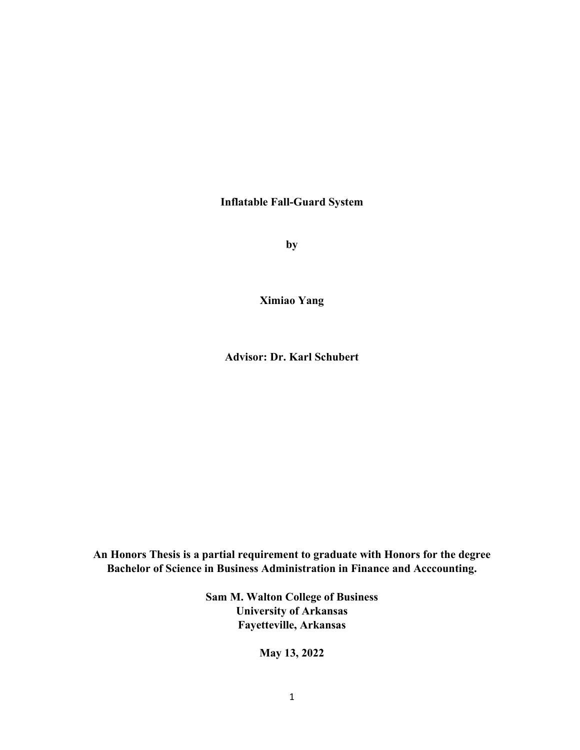**Inflatable Fall-Guard System**

**by**

**Ximiao Yang**

**Advisor: Dr. Karl Schubert**

**An Honors Thesis is a partial requirement to graduate with Honors for the degree Bachelor of Science in Business Administration in Finance and Acccounting.**

> **Sam M. Walton College of Business University of Arkansas Fayetteville, Arkansas**

> > **May 13, 2022**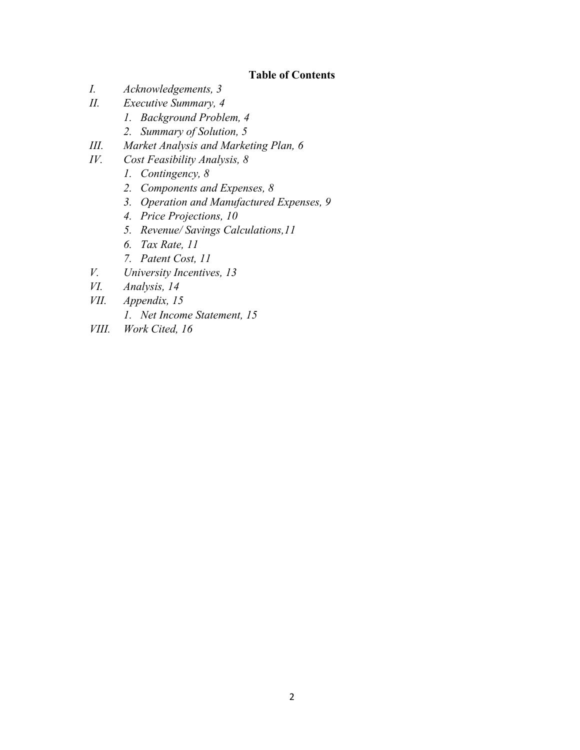## **Table of Contents**

- *I. Acknowledgements, 3*
- *II. Executive Summary, 4*
	- *1. Background Problem, 4*
	- *2. Summary of Solution, 5*
- *III. Market Analysis and Marketing Plan, 6*
- *IV. Cost Feasibility Analysis, 8*
	- *1. Contingency, 8*
	- *2. Components and Expenses, 8*
	- *3. Operation and Manufactured Expenses, 9*
	- *4. Price Projections, 10*
	- *5. Revenue/ Savings Calculations,11*
	- *6. Tax Rate, 11*
	- *7. Patent Cost, 11*
- *V. University Incentives, 13*
- *VI. Analysis, 14*
- *VII. Appendix, 15*
	- *1. Net Income Statement, 15*
- *VIII. Work Cited, 16*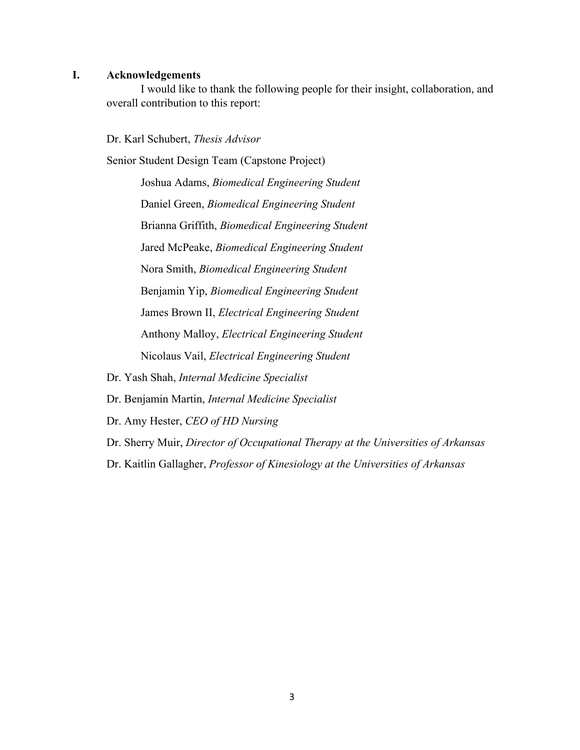#### **I. Acknowledgements**

I would like to thank the following people for their insight, collaboration, and overall contribution to this report:

Dr. Karl Schubert, *Thesis Advisor*

Senior Student Design Team (Capstone Project)

Joshua Adams, *Biomedical Engineering Student* Daniel Green, *Biomedical Engineering Student* Brianna Griffith, *Biomedical Engineering Student* Jared McPeake, *Biomedical Engineering Student* Nora Smith, *Biomedical Engineering Student* Benjamin Yip, *Biomedical Engineering Student* James Brown II, *Electrical Engineering Student* Anthony Malloy, *Electrical Engineering Student* Nicolaus Vail, *Electrical Engineering Student*

Dr. Yash Shah, *Internal Medicine Specialist*

Dr. Benjamin Martin, *Internal Medicine Specialist*

Dr. Amy Hester, *CEO of HD Nursing*

Dr. Sherry Muir, *Director of Occupational Therapy at the Universities of Arkansas*

Dr. Kaitlin Gallagher, *Professor of Kinesiology at the Universities of Arkansas*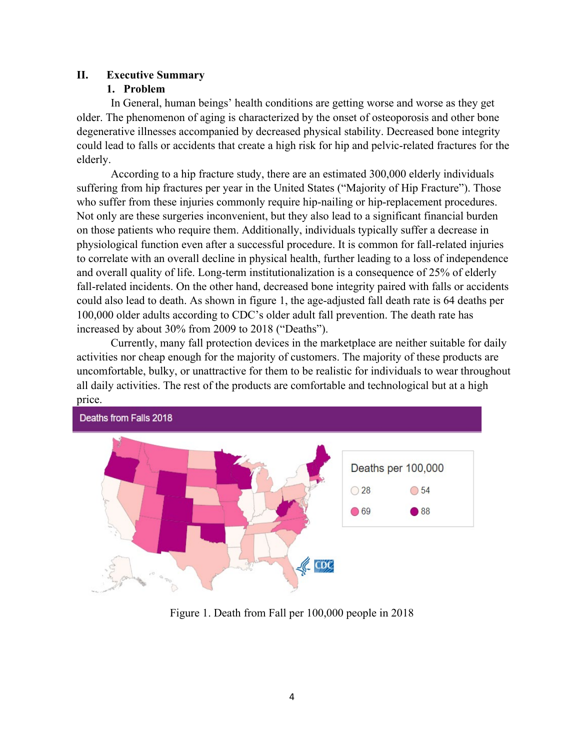## **II. Executive Summary**

## **1. Problem**

In General, human beings' health conditions are getting worse and worse as they get older. The phenomenon of aging is characterized by the onset of osteoporosis and other bone degenerative illnesses accompanied by decreased physical stability. Decreased bone integrity could lead to falls or accidents that create a high risk for hip and pelvic-related fractures for the elderly.

According to a hip fracture study, there are an estimated 300,000 elderly individuals suffering from hip fractures per year in the United States ("Majority of Hip Fracture"). Those who suffer from these injuries commonly require hip-nailing or hip-replacement procedures. Not only are these surgeries inconvenient, but they also lead to a significant financial burden on those patients who require them. Additionally, individuals typically suffer a decrease in physiological function even after a successful procedure. It is common for fall-related injuries to correlate with an overall decline in physical health, further leading to a loss of independence and overall quality of life. Long-term institutionalization is a consequence of 25% of elderly fall-related incidents. On the other hand, decreased bone integrity paired with falls or accidents could also lead to death. As shown in figure 1, the age-adjusted fall death rate is 64 deaths per 100,000 older adults according to CDC's older adult fall prevention. The death rate has increased by about 30% from 2009 to 2018 ("Deaths").

Currently, many fall protection devices in the marketplace are neither suitable for daily activities nor cheap enough for the majority of customers. The majority of these products are uncomfortable, bulky, or unattractive for them to be realistic for individuals to wear throughout all daily activities. The rest of the products are comfortable and technological but at a high price.



Figure 1. Death from Fall per 100,000 people in 2018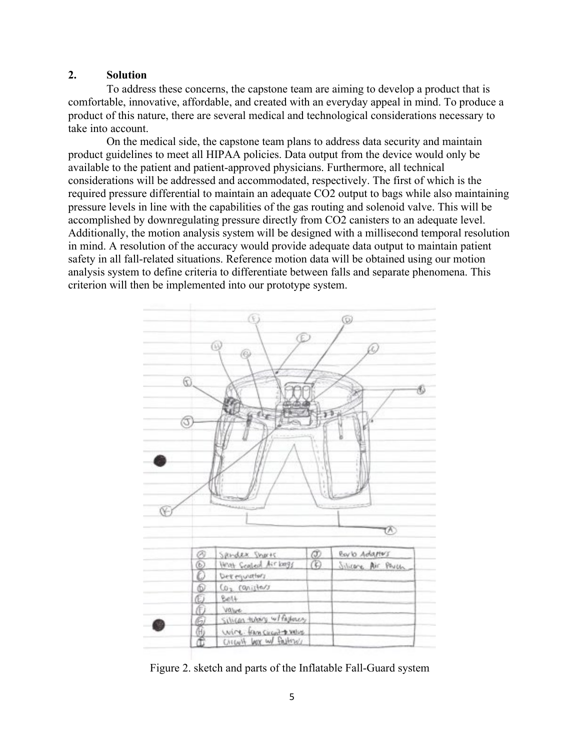## **2. Solution**

To address these concerns, the capstone team are aiming to develop a product that is comfortable, innovative, affordable, and created with an everyday appeal in mind. To produce a product of this nature, there are several medical and technological considerations necessary to take into account.

 On the medical side, the capstone team plans to address data security and maintain product guidelines to meet all HIPAA policies. Data output from the device would only be available to the patient and patient-approved physicians. Furthermore, all technical considerations will be addressed and accommodated, respectively. The first of which is the required pressure differential to maintain an adequate CO2 output to bags while also maintaining pressure levels in line with the capabilities of the gas routing and solenoid valve. This will be accomplished by downregulating pressure directly from CO2 canisters to an adequate level. Additionally, the motion analysis system will be designed with a millisecond temporal resolution in mind. A resolution of the accuracy would provide adequate data output to maintain patient safety in all fall-related situations. Reference motion data will be obtained using our motion analysis system to define criteria to differentiate between falls and separate phenomena. This criterion will then be implemented into our prototype system.



Figure 2. sketch and parts of the Inflatable Fall-Guard system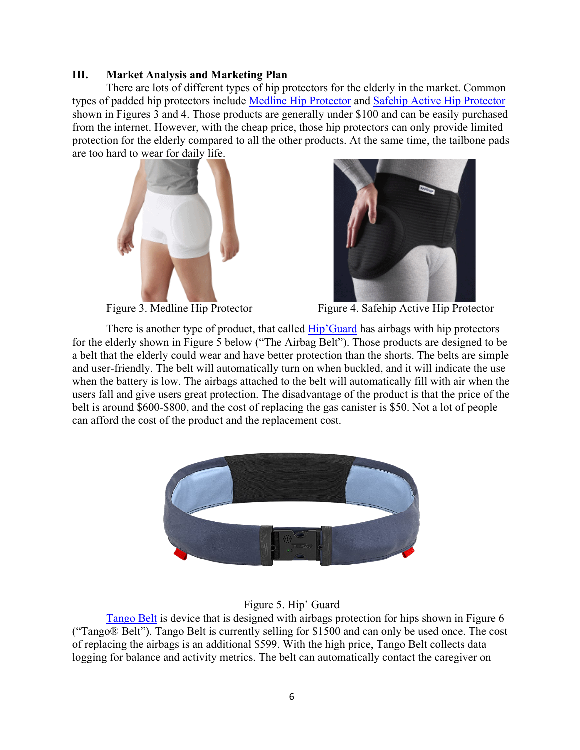#### **III. Market Analysis and Marketing Plan**

There are lots of different types of hip protectors for the elderly in the market. Common types of padded hip protectors include [Medline Hip Protector](https://www.amazon.com/gp/product/B07S2T7SDH/ref=as_li_tl?ie=UTF8&tag=bestreviews0ba-20&camp=1789&creative=9325&linkCode=as2&creativeASIN=B07S2T7SDH&linkId=5edc7d41626629dfd2558ee18866278d) and [Safehip Active Hip Protector](https://www.amazon.com/gp/product/B0041LS934/ref=as_li_tl?ie=UTF8&tag=bestreviews0ba-20&camp=1789&creative=9325&linkCode=as2&creativeASIN=B0041LS934&linkId=eba147732753e87486bb178696b179df) shown in Figures 3 and 4. Those products are generally under \$100 and can be easily purchased from the internet. However, with the cheap price, those hip protectors can only provide limited protection for the elderly compared to all the other products. At the same time, the tailbone pads are too hard to wear for daily life.





Figure 3. Medline Hip Protector Figure 4. Safehip Active Hip Protector

There is another type of product, that called [Hip'Guard](https://hipguard.eu/en/) has airbags with hip protectors for the elderly shown in Figure 5 below ("The Airbag Belt"). Those products are designed to be a belt that the elderly could wear and have better protection than the shorts. The belts are simple and user-friendly. The belt will automatically turn on when buckled, and it will indicate the use when the battery is low. The airbags attached to the belt will automatically fill with air when the users fall and give users great protection. The disadvantage of the product is that the price of the belt is around \$600-\$800, and the cost of replacing the gas canister is \$50. Not a lot of people can afford the cost of the product and the replacement cost.



## Figure 5. Hip' Guard

[Tango Belt](https://www.tangobelt.com/) is device that is designed with airbags protection for hips shown in Figure 6 ("Tango® Belt"). Tango Belt is currently selling for \$1500 and can only be used once. The cost of replacing the airbags is an additional \$599. With the high price, Tango Belt collects data logging for balance and activity metrics. The belt can automatically contact the caregiver on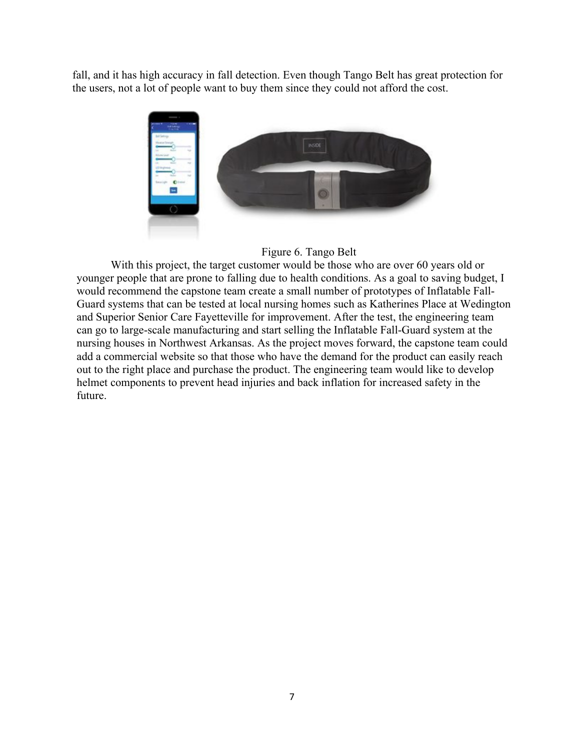fall, and it has high accuracy in fall detection. Even though Tango Belt has great protection for the users, not a lot of people want to buy them since they could not afford the cost.



## Figure 6. Tango Belt

With this project, the target customer would be those who are over 60 years old or younger people that are prone to falling due to health conditions. As a goal to saving budget, I would recommend the capstone team create a small number of prototypes of Inflatable Fall-Guard systems that can be tested at local nursing homes such as Katherines Place at Wedington and Superior Senior Care Fayetteville for improvement. After the test, the engineering team can go to large-scale manufacturing and start selling the Inflatable Fall-Guard system at the nursing houses in Northwest Arkansas. As the project moves forward, the capstone team could add a commercial website so that those who have the demand for the product can easily reach out to the right place and purchase the product. The engineering team would like to develop helmet components to prevent head injuries and back inflation for increased safety in the future.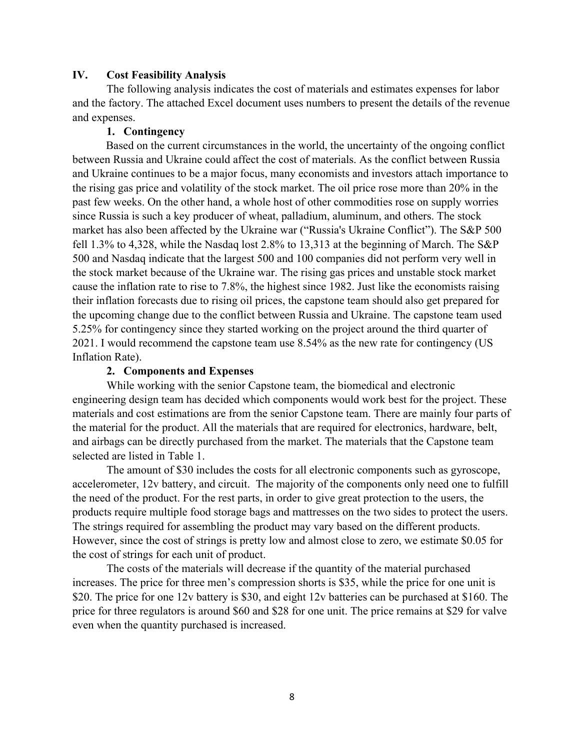#### **IV. Cost Feasibility Analysis**

The following analysis indicates the cost of materials and estimates expenses for labor and the factory. The attached Excel document uses numbers to present the details of the revenue and expenses.

#### **1. Contingency**

Based on the current circumstances in the world, the uncertainty of the ongoing conflict between Russia and Ukraine could affect the cost of materials. As the conflict between Russia and Ukraine continues to be a major focus, many economists and investors attach importance to the rising gas price and volatility of the stock market. The oil price rose more than 20% in the past few weeks. On the other hand, a whole host of other commodities rose on supply worries since Russia is such a key producer of wheat, palladium, aluminum, and others. The stock market has also been affected by the Ukraine war ("Russia's Ukraine Conflict"). The S&P 500 fell 1.3% to 4,328, while the Nasdaq lost 2.8% to 13,313 at the beginning of March. The S&P 500 and Nasdaq indicate that the largest 500 and 100 companies did not perform very well in the stock market because of the Ukraine war. The rising gas prices and unstable stock market cause the inflation rate to rise to 7.8%, the highest since 1982. Just like the economists raising their inflation forecasts due to rising oil prices, the capstone team should also get prepared for the upcoming change due to the conflict between Russia and Ukraine. The capstone team used 5.25% for contingency since they started working on the project around the third quarter of 2021. I would recommend the capstone team use 8.54% as the new rate for contingency (US Inflation Rate).

#### **2. Components and Expenses**

While working with the senior Capstone team, the biomedical and electronic engineering design team has decided which components would work best for the project. These materials and cost estimations are from the senior Capstone team. There are mainly four parts of the material for the product. All the materials that are required for electronics, hardware, belt, and airbags can be directly purchased from the market. The materials that the Capstone team selected are listed in Table 1.

The amount of \$30 includes the costs for all electronic components such as gyroscope, accelerometer, 12v battery, and circuit. The majority of the components only need one to fulfill the need of the product. For the rest parts, in order to give great protection to the users, the products require multiple food storage bags and mattresses on the two sides to protect the users. The strings required for assembling the product may vary based on the different products. However, since the cost of strings is pretty low and almost close to zero, we estimate \$0.05 for the cost of strings for each unit of product.

The costs of the materials will decrease if the quantity of the material purchased increases. The price for three men's compression shorts is \$35, while the price for one unit is \$20. The price for one 12v battery is \$30, and eight 12v batteries can be purchased at \$160. The price for three regulators is around \$60 and \$28 for one unit. The price remains at \$29 for valve even when the quantity purchased is increased.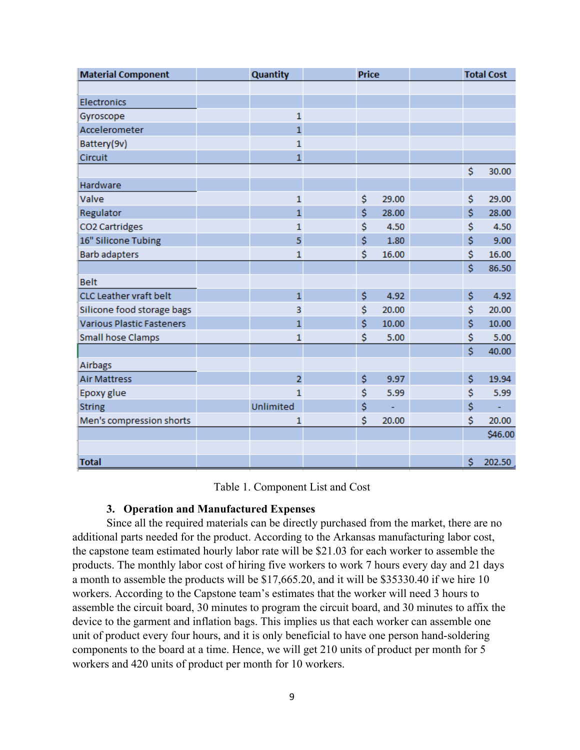| <b>Material Component</b>        | <b>Quantity</b> | <b>Price</b> |    |       | <b>Total Cost</b> |         |
|----------------------------------|-----------------|--------------|----|-------|-------------------|---------|
|                                  |                 |              |    |       |                   |         |
| <b>Electronics</b>               |                 |              |    |       |                   |         |
| Gyroscope                        | $\mathbf{1}$    |              |    |       |                   |         |
| Accelerometer                    | $\mathbf{1}$    |              |    |       |                   |         |
| Battery(9v)                      | $\mathbf{1}$    |              |    |       |                   |         |
| Circuit                          | $\mathbf{1}$    |              |    |       |                   |         |
|                                  |                 |              |    |       | \$                | 30.00   |
| Hardware                         |                 |              |    |       |                   |         |
| Valve                            | 1               |              | \$ | 29.00 | \$                | 29.00   |
| Regulator                        | $\mathbf{1}$    |              | \$ | 28.00 | \$                | 28.00   |
| CO2 Cartridges                   | $\mathbf{1}$    |              | \$ | 4.50  | \$                | 4.50    |
| 16" Silicone Tubing              | 5               |              | \$ | 1.80  | \$                | 9.00    |
| <b>Barb adapters</b>             | $\mathbf 1$     |              | \$ | 16.00 | \$                | 16.00   |
|                                  |                 |              |    |       | Ś                 | 86.50   |
| <b>Belt</b>                      |                 |              |    |       |                   |         |
| CLC Leather vraft belt           | $\mathbf{1}$    |              | \$ | 4.92  | \$                | 4.92    |
| Silicone food storage bags       | з               |              | \$ | 20.00 | \$                | 20.00   |
| <b>Various Plastic Fasteners</b> | $\mathbf{1}$    |              | Ś  | 10.00 | Ś                 | 10.00   |
| <b>Small hose Clamps</b>         | $\mathbf{1}$    |              | \$ | 5.00  | \$                | 5.00    |
|                                  |                 |              |    |       | Ś                 | 40.00   |
| Airbags                          |                 |              |    |       |                   |         |
| <b>Air Mattress</b>              | $\overline{2}$  |              | \$ | 9.97  | \$                | 19.94   |
| Epoxy glue                       | $\mathbf{1}$    |              | \$ | 5.99  | \$                | 5.99    |
| <b>String</b>                    | Unlimited       |              | \$ |       | \$                |         |
| Men's compression shorts         | $\mathbf 1$     |              | \$ | 20.00 | \$                | 20.00   |
|                                  |                 |              |    |       |                   | \$46.00 |
|                                  |                 |              |    |       |                   |         |
| <b>Total</b>                     |                 |              |    |       | \$                | 202.50  |

#### Table 1. Component List and Cost

#### **3. Operation and Manufactured Expenses**

Since all the required materials can be directly purchased from the market, there are no additional parts needed for the product. According to the Arkansas manufacturing labor cost, the capstone team estimated hourly labor rate will be \$21.03 for each worker to assemble the products. The monthly labor cost of hiring five workers to work 7 hours every day and 21 days a month to assemble the products will be \$17,665.20, and it will be \$35330.40 if we hire 10 workers. According to the Capstone team's estimates that the worker will need 3 hours to assemble the circuit board, 30 minutes to program the circuit board, and 30 minutes to affix the device to the garment and inflation bags. This implies us that each worker can assemble one unit of product every four hours, and it is only beneficial to have one person hand-soldering components to the board at a time. Hence, we will get 210 units of product per month for 5 workers and 420 units of product per month for 10 workers.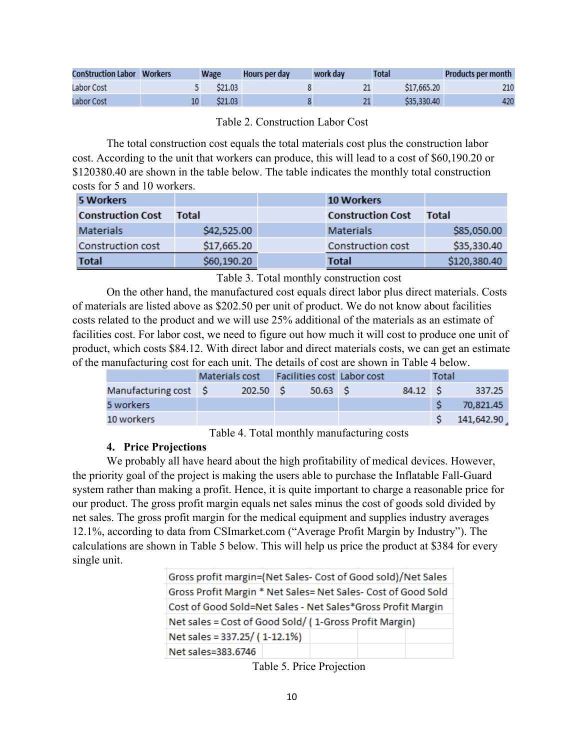| <b>ConStruction Labor Workers</b> | <b>Wage</b> | Hours per day | work day | <b>Total</b> | <b>Products per month</b> |
|-----------------------------------|-------------|---------------|----------|--------------|---------------------------|
| Labor Cost                        | S21.03      |               |          | \$17,665,20  | 210                       |
| Labor Cost                        | \$21.03     |               |          | \$35,330,40  | 420                       |

Table 2. Construction Labor Cost

The total construction cost equals the total materials cost plus the construction labor cost. According to the unit that workers can produce, this will lead to a cost of \$60,190.20 or \$120380.40 are shown in the table below. The table indicates the monthly total construction costs for 5 and 10 workers.

| 5 Workers                |              | <b>10 Workers</b>        |              |
|--------------------------|--------------|--------------------------|--------------|
| <b>Construction Cost</b> | <b>Total</b> | <b>Construction Cost</b> | <b>Total</b> |
| <b>Materials</b>         | \$42,525.00  | <b>Materials</b>         | \$85,050.00  |
| Construction cost        | \$17,665.20  | Construction cost        | \$35,330.40  |
| <b>Total</b>             | \$60,190.20  | <b>Total</b>             | \$120,380.40 |

Table 3. Total monthly construction cost

On the other hand, the manufactured cost equals direct labor plus direct materials. Costs of materials are listed above as \$202.50 per unit of product. We do not know about facilities costs related to the product and we will use 25% additional of the materials as an estimate of facilities cost. For labor cost, we need to figure out how much it will cost to produce one unit of product, which costs \$84.12. With direct labor and direct materials costs, we can get an estimate of the manufacturing cost for each unit. The details of cost are shown in Table 4 below.

|                       |            |         | Materials cost Facilities cost Labor cost |         | Total |            |
|-----------------------|------------|---------|-------------------------------------------|---------|-------|------------|
| Manufacturing cost \$ | $202.50$ S | 50.63 S |                                           | 84.12 S |       | 337.25     |
| 5 workers             |            |         |                                           |         |       | 70,821.45  |
| 10 workers            |            |         |                                           |         |       | 141,642.90 |

Table 4. Total monthly manufacturing costs

## **4. Price Projections**

We probably all have heard about the high profitability of medical devices. However, the priority goal of the project is making the users able to purchase the Inflatable Fall-Guard system rather than making a profit. Hence, it is quite important to charge a reasonable price for our product. The gross profit margin equals net sales minus the cost of goods sold divided by net sales. The gross profit margin for the medical equipment and supplies industry averages 12.1%, according to data from CSImarket.com ("Average Profit Margin by Industry"). The calculations are shown in Table 5 below. This will help us price the product at \$384 for every single unit.

| Gross profit margin=(Net Sales- Cost of Good sold)/Net Sales  |                                                             |  |  |  |  |  |  |  |
|---------------------------------------------------------------|-------------------------------------------------------------|--|--|--|--|--|--|--|
| Gross Profit Margin * Net Sales= Net Sales- Cost of Good Sold |                                                             |  |  |  |  |  |  |  |
|                                                               | Cost of Good Sold=Net Sales - Net Sales*Gross Profit Margin |  |  |  |  |  |  |  |
| Net sales = Cost of Good Sold/ (1-Gross Profit Margin)        |                                                             |  |  |  |  |  |  |  |
| Net sales = 337.25/ (1-12.1%)                                 |                                                             |  |  |  |  |  |  |  |
| Net sales=383.6746                                            |                                                             |  |  |  |  |  |  |  |

Table 5. Price Projection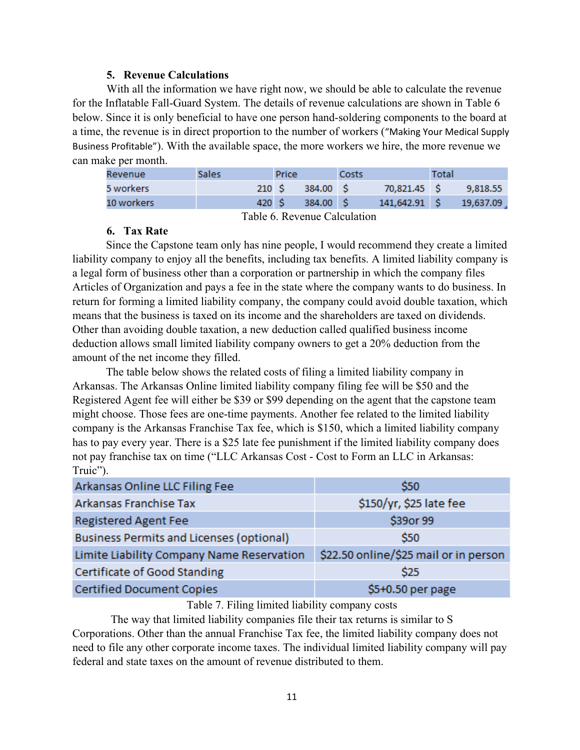#### **5. Revenue Calculations**

With all the information we have right now, we should be able to calculate the revenue for the Inflatable Fall-Guard System. The details of revenue calculations are shown in Table 6 below. Since it is only beneficial to have one person hand-soldering components to the board at a time, the revenue is in direct proportion to the number of workers ("Making Your Medical Supply Business Profitable"). With the available space, the more workers we hire, the more revenue we can make per month.

| Revenue    | Sales | Price |           | Costs |                 | Total |           |
|------------|-------|-------|-----------|-------|-----------------|-------|-----------|
| 5 workers  | 210 S |       | 384.00 S  |       | 70,821.45 S     |       | 9.818.55  |
| 10 workers | 420 S |       | 384.00 \$ |       | $141,642.91$ \$ |       | 19,637.09 |
|            |       |       |           |       |                 |       |           |

Table 6. Revenue Calculation

## **6. Tax Rate**

Since the Capstone team only has nine people, I would recommend they create a limited liability company to enjoy all the benefits, including tax benefits. A limited liability company is a legal form of business other than a corporation or partnership in which the company files Articles of Organization and pays a fee in the state where the company wants to do business. In return for forming a limited liability company, the company could avoid double taxation, which means that the business is taxed on its income and the shareholders are taxed on dividends. Other than avoiding double taxation, a new deduction called qualified business income deduction allows small limited liability company owners to get a 20% deduction from the amount of the net income they filled.

The table below shows the related costs of filing a limited liability company in Arkansas. The Arkansas Online limited liability company filing fee will be \$50 and the Registered Agent fee will either be \$39 or \$99 depending on the agent that the capstone team might choose. Those fees are one-time payments. Another fee related to the limited liability company is the Arkansas Franchise Tax fee, which is \$150, which a limited liability company has to pay every year. There is a \$25 late fee punishment if the limited liability company does not pay franchise tax on time ("LLC Arkansas Cost - Cost to Form an LLC in Arkansas: Truic").

| Arkansas Online LLC Filing Fee                  | \$50                                  |
|-------------------------------------------------|---------------------------------------|
| Arkansas Franchise Tax                          | \$150/yr, \$25 late fee               |
| <b>Registered Agent Fee</b>                     | \$39or 99                             |
| <b>Business Permits and Licenses (optional)</b> | \$50                                  |
| Limite Liability Company Name Reservation       | \$22.50 online/\$25 mail or in person |
| Certificate of Good Standing                    | \$25                                  |
| <b>Certified Document Copies</b>                | \$5+0.50 per page                     |

#### Table 7. Filing limited liability company costs

The way that limited liability companies file their tax returns is similar to S Corporations. Other than the annual Franchise Tax fee, the limited liability company does not need to file any other corporate income taxes. The individual limited liability company will pay federal and state taxes on the amount of revenue distributed to them.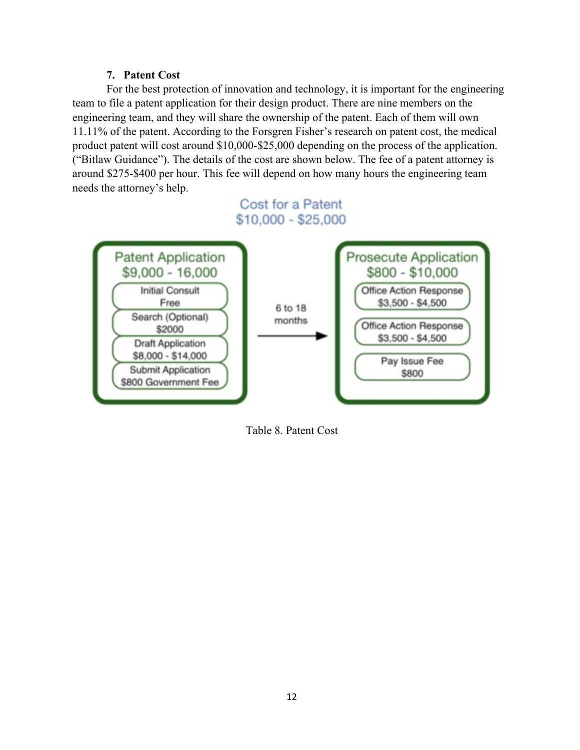## **7. Patent Cost**

For the best protection of innovation and technology, it is important for the engineering team to file a patent application for their design product. There are nine members on the engineering team, and they will share the ownership of the patent. Each of them will own 11.11% of the patent. According to the Forsgren Fisher's research on patent cost, the medical product patent will cost around \$10,000-\$25,000 depending on the process of the application. ("Bitlaw Guidance"). The details of the cost are shown below. The fee of a patent attorney is around \$275-\$400 per hour. This fee will depend on how many hours the engineering team needs the attorney's help.

# Cost for a Patent  $$10,000 - $25,000$



Table 8. Patent Cost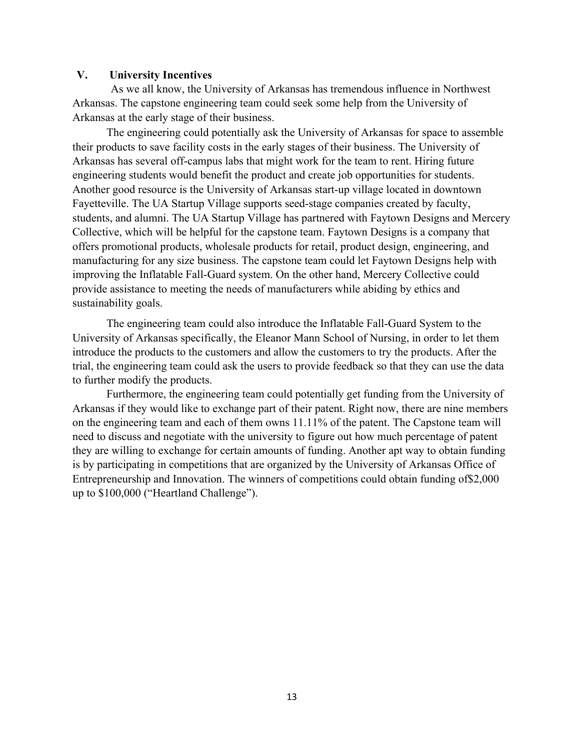#### **V. University Incentives**

As we all know, the University of Arkansas has tremendous influence in Northwest Arkansas. The capstone engineering team could seek some help from the University of Arkansas at the early stage of their business.

The engineering could potentially ask the University of Arkansas for space to assemble their products to save facility costs in the early stages of their business. The University of Arkansas has several off-campus labs that might work for the team to rent. Hiring future engineering students would benefit the product and create job opportunities for students. Another good resource is the University of Arkansas start-up village located in downtown Fayetteville. The UA Startup Village supports seed-stage companies created by faculty, students, and alumni. The UA Startup Village has partnered with Faytown Designs and Mercery Collective, which will be helpful for the capstone team. Faytown Designs is a company that offers promotional products, wholesale products for retail, product design, engineering, and manufacturing for any size business. The capstone team could let Faytown Designs help with improving the Inflatable Fall-Guard system. On the other hand, Mercery Collective could provide assistance to meeting the needs of manufacturers while abiding by ethics and sustainability goals.

The engineering team could also introduce the Inflatable Fall-Guard System to the University of Arkansas specifically, the Eleanor Mann School of Nursing, in order to let them introduce the products to the customers and allow the customers to try the products. After the trial, the engineering team could ask the users to provide feedback so that they can use the data to further modify the products.

Furthermore, the engineering team could potentially get funding from the University of Arkansas if they would like to exchange part of their patent. Right now, there are nine members on the engineering team and each of them owns 11.11% of the patent. The Capstone team will need to discuss and negotiate with the university to figure out how much percentage of patent they are willing to exchange for certain amounts of funding. Another apt way to obtain funding is by participating in competitions that are organized by the University of Arkansas Office of Entrepreneurship and Innovation. The winners of competitions could obtain funding of\$2,000 up to \$100,000 ("Heartland Challenge").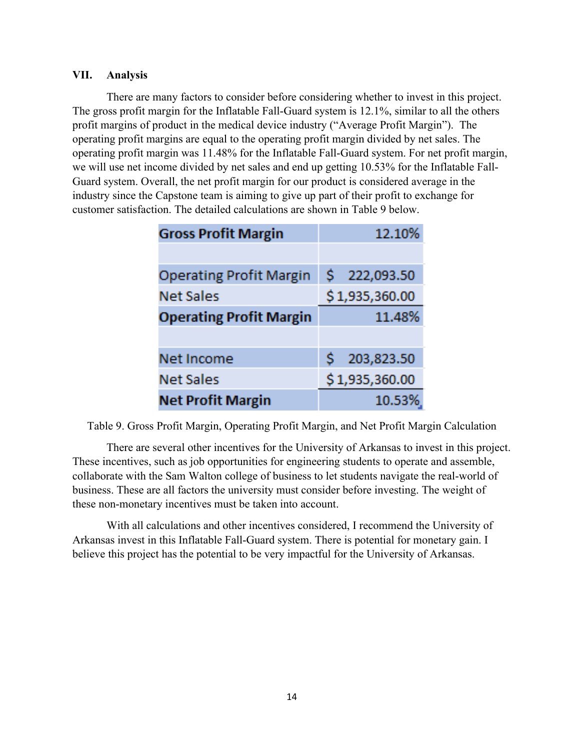## **VII. Analysis**

There are many factors to consider before considering whether to invest in this project. The gross profit margin for the Inflatable Fall-Guard system is 12.1%, similar to all the others profit margins of product in the medical device industry ("Average Profit Margin"). The operating profit margins are equal to the operating profit margin divided by net sales. The operating profit margin was 11.48% for the Inflatable Fall-Guard system. For net profit margin, we will use net income divided by net sales and end up getting 10.53% for the Inflatable Fall-Guard system. Overall, the net profit margin for our product is considered average in the industry since the Capstone team is aiming to give up part of their profit to exchange for customer satisfaction. The detailed calculations are shown in Table 9 below.

| <b>Gross Profit Margin</b>     | 12.10%           |
|--------------------------------|------------------|
|                                |                  |
| <b>Operating Profit Margin</b> | \$222,093.50     |
| <b>Net Sales</b>               | \$1,935,360.00   |
| <b>Operating Profit Margin</b> | 11.48%           |
|                                |                  |
| Net Income                     | 203,823.50<br>S. |
| <b>Net Sales</b>               | \$1,935,360.00   |
| <b>Net Profit Margin</b>       | 10.53%           |

Table 9. Gross Profit Margin, Operating Profit Margin, and Net Profit Margin Calculation

There are several other incentives for the University of Arkansas to invest in this project. These incentives, such as job opportunities for engineering students to operate and assemble, collaborate with the Sam Walton college of business to let students navigate the real-world of business. These are all factors the university must consider before investing. The weight of these non-monetary incentives must be taken into account.

With all calculations and other incentives considered, I recommend the University of Arkansas invest in this Inflatable Fall-Guard system. There is potential for monetary gain. I believe this project has the potential to be very impactful for the University of Arkansas.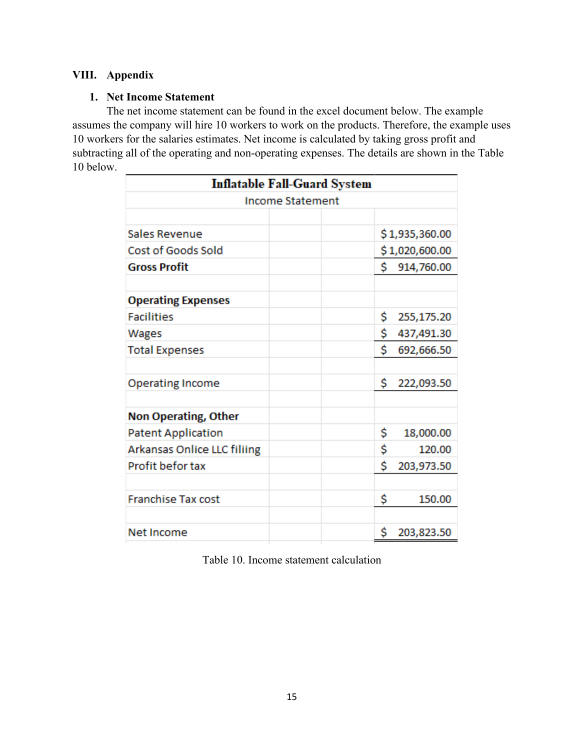## **VIII. Appendix**

## **1. Net Income Statement**

The net income statement can be found in the excel document below. The example assumes the company will hire 10 workers to work on the products. Therefore, the example uses 10 workers for the salaries estimates. Net income is calculated by taking gross profit and subtracting all of the operating and non-operating expenses. The details are shown in the Table 10 below.

| <b>Inflatable Fall-Guard System</b> |  |    |                |  |  |  |  |
|-------------------------------------|--|----|----------------|--|--|--|--|
| <b>Income Statement</b>             |  |    |                |  |  |  |  |
|                                     |  |    |                |  |  |  |  |
| <b>Sales Revenue</b>                |  |    | \$1,935,360.00 |  |  |  |  |
| Cost of Goods Sold                  |  |    | \$1,020,600.00 |  |  |  |  |
| <b>Gross Profit</b>                 |  | \$ | 914,760.00     |  |  |  |  |
|                                     |  |    |                |  |  |  |  |
| <b>Operating Expenses</b>           |  |    |                |  |  |  |  |
| <b>Facilities</b>                   |  | \$ | 255,175.20     |  |  |  |  |
| Wages                               |  | \$ | 437,491.30     |  |  |  |  |
| <b>Total Expenses</b>               |  | Ś  | 692,666.50     |  |  |  |  |
|                                     |  |    |                |  |  |  |  |
| <b>Operating Income</b>             |  | \$ | 222,093.50     |  |  |  |  |
|                                     |  |    |                |  |  |  |  |
| <b>Non Operating, Other</b>         |  |    |                |  |  |  |  |
| <b>Patent Application</b>           |  | \$ | 18,000.00      |  |  |  |  |
| Arkansas Onlice LLC filiing         |  | \$ | 120.00         |  |  |  |  |
| Profit befor tax                    |  | \$ | 203,973.50     |  |  |  |  |
|                                     |  |    |                |  |  |  |  |
| <b>Franchise Tax cost</b>           |  | \$ | 150.00         |  |  |  |  |
|                                     |  |    |                |  |  |  |  |
| Net Income                          |  | \$ | 203,823.50     |  |  |  |  |

Table 10. Income statement calculation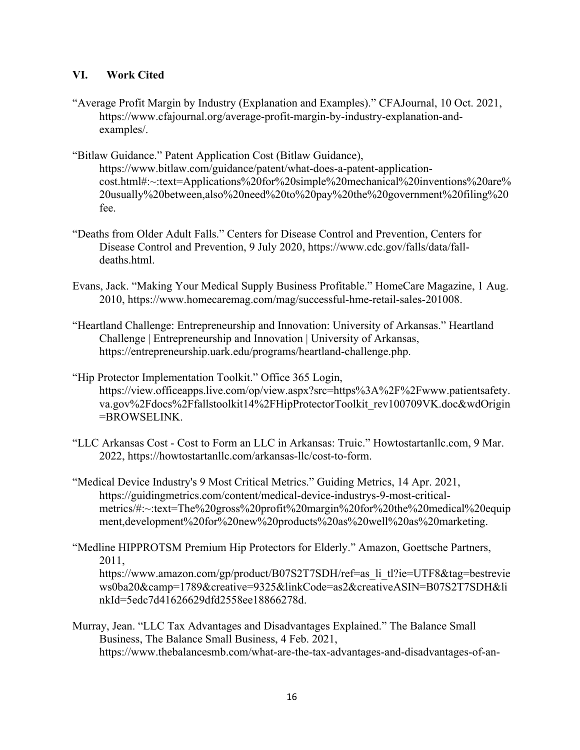## **VI. Work Cited**

- "Average Profit Margin by Industry (Explanation and Examples)." CFAJournal, 10 Oct. 2021, https://www.cfajournal.org/average-profit-margin-by-industry-explanation-andexamples/.
- "Bitlaw Guidance." Patent Application Cost (Bitlaw Guidance), https://www.bitlaw.com/guidance/patent/what-does-a-patent-applicationcost.html#:~:text=Applications%20for%20simple%20mechanical%20inventions%20are% 20usually%20between,also%20need%20to%20pay%20the%20government%20filing%20 fee.
- "Deaths from Older Adult Falls." Centers for Disease Control and Prevention, Centers for Disease Control and Prevention, 9 July 2020, https://www.cdc.gov/falls/data/falldeaths.html.
- Evans, Jack. "Making Your Medical Supply Business Profitable." HomeCare Magazine, 1 Aug. 2010, https://www.homecaremag.com/mag/successful-hme-retail-sales-201008.
- "Heartland Challenge: Entrepreneurship and Innovation: University of Arkansas." Heartland Challenge | Entrepreneurship and Innovation | University of Arkansas, https://entrepreneurship.uark.edu/programs/heartland-challenge.php.
- "Hip Protector Implementation Toolkit." Office 365 Login, https://view.officeapps.live.com/op/view.aspx?src=https%3A%2F%2Fwww.patientsafety. va.gov%2Fdocs%2Ffallstoolkit14%2FHipProtectorToolkit\_rev100709VK.doc&wdOrigin =BROWSELINK.
- "LLC Arkansas Cost Cost to Form an LLC in Arkansas: Truic." Howtostartanllc.com, 9 Mar. 2022, https://howtostartanllc.com/arkansas-llc/cost-to-form.
- "Medical Device Industry's 9 Most Critical Metrics." Guiding Metrics, 14 Apr. 2021, https://guidingmetrics.com/content/medical-device-industrys-9-most-criticalmetrics/#:~:text=The%20gross%20profit%20margin%20for%20the%20medical%20equip ment,development%20for%20new%20products%20as%20well%20as%20marketing.
- "Medline HIPPROTSM Premium Hip Protectors for Elderly." Amazon, Goettsche Partners, 2011,

https://www.amazon.com/gp/product/B07S2T7SDH/ref=as\_li\_tl?ie=UTF8&tag=bestrevie ws0ba20&camp=1789&creative=9325&linkCode=as2&creativeASIN=B07S2T7SDH&li nkId=5edc7d41626629dfd2558ee18866278d.

Murray, Jean. "LLC Tax Advantages and Disadvantages Explained." The Balance Small Business, The Balance Small Business, 4 Feb. 2021, https://www.thebalancesmb.com/what-are-the-tax-advantages-and-disadvantages-of-an